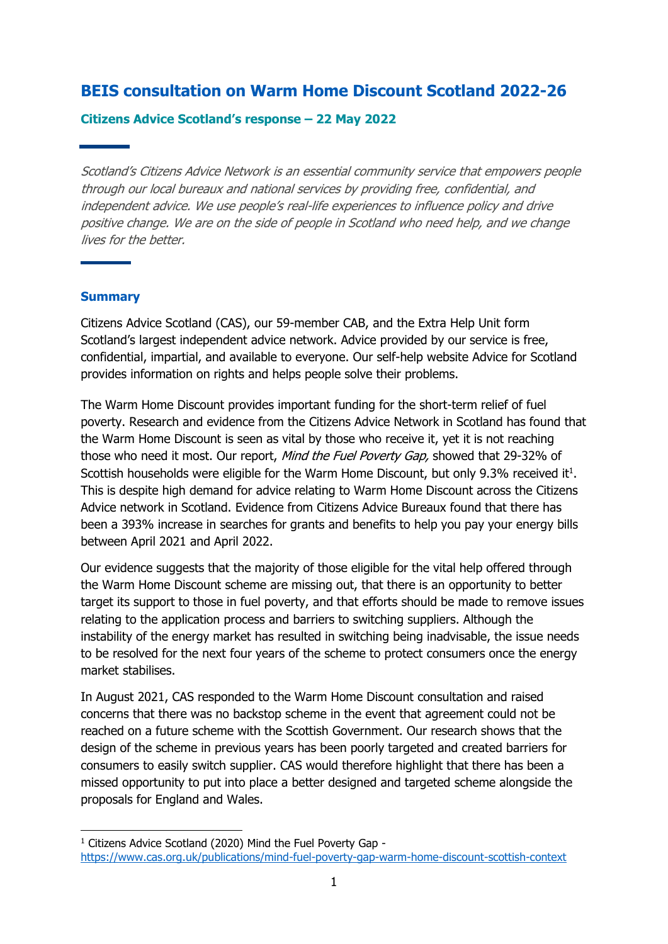# **BEIS consultation on Warm Home Discount Scotland 2022-26**

### **Citizens Advice Scotland's response – 22 May 2022**

Scotland's Citizens Advice Network is an essential community service that empowers people through our local bureaux and national services by providing free, confidential, and independent advice. We use people's real-life experiences to influence policy and drive positive change. We are on the side of people in Scotland who need help, and we change lives for the better.

#### **Summary**

Citizens Advice Scotland (CAS), our 59-member CAB, and the Extra Help Unit form Scotland's largest independent advice network. Advice provided by our service is free, confidential, impartial, and available to everyone. Our self-help website Advice for Scotland provides information on rights and helps people solve their problems.

The Warm Home Discount provides important funding for the short-term relief of fuel poverty. Research and evidence from the Citizens Advice Network in Scotland has found that the Warm Home Discount is seen as vital by those who receive it, yet it is not reaching those who need it most. Our report, Mind the Fuel Poverty Gap, showed that 29-32% of Scottish households were eligible for the Warm Home Discount, but only 9.3% received it<sup>1</sup>. This is despite high demand for advice relating to Warm Home Discount across the Citizens Advice network in Scotland. Evidence from Citizens Advice Bureaux found that there has been a 393% increase in searches for grants and benefits to help you pay your energy bills between April 2021 and April 2022.

Our evidence suggests that the majority of those eligible for the vital help offered through the Warm Home Discount scheme are missing out, that there is an opportunity to better target its support to those in fuel poverty, and that efforts should be made to remove issues relating to the application process and barriers to switching suppliers. Although the instability of the energy market has resulted in switching being inadvisable, the issue needs to be resolved for the next four years of the scheme to protect consumers once the energy market stabilises.

In August 2021, CAS responded to the Warm Home Discount consultation and raised concerns that there was no backstop scheme in the event that agreement could not be reached on a future scheme with the Scottish Government. Our research shows that the design of the scheme in previous years has been poorly targeted and created barriers for consumers to easily switch supplier. CAS would therefore highlight that there has been a missed opportunity to put into place a better designed and targeted scheme alongside the proposals for England and Wales.

<sup>&</sup>lt;sup>1</sup> Citizens Advice Scotland (2020) Mind the Fuel Poverty Gap <https://www.cas.org.uk/publications/mind-fuel-poverty-gap-warm-home-discount-scottish-context>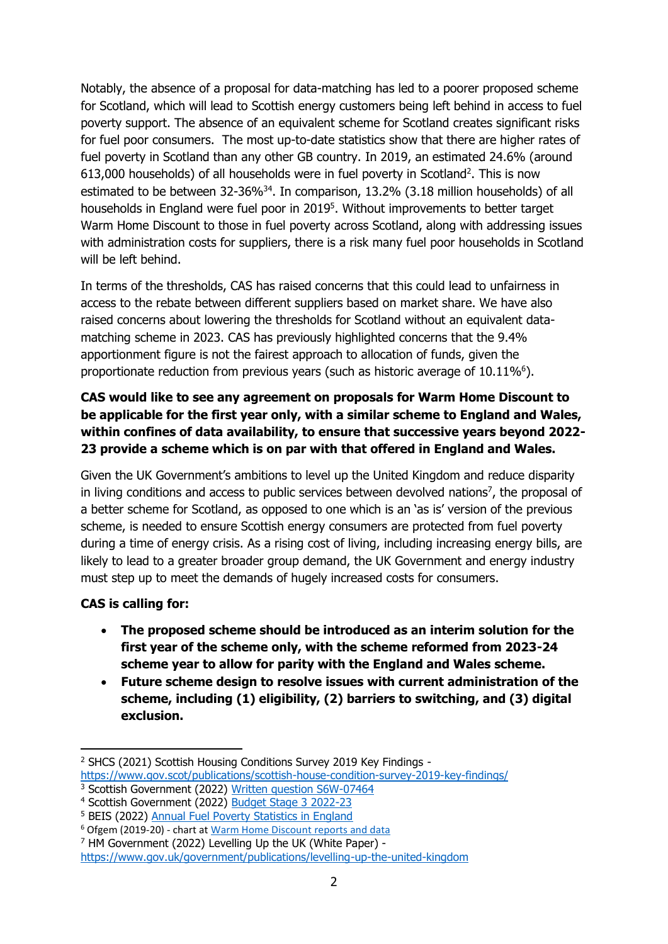Notably, the absence of a proposal for data-matching has led to a poorer proposed scheme for Scotland, which will lead to Scottish energy customers being left behind in access to fuel poverty support. The absence of an equivalent scheme for Scotland creates significant risks for fuel poor consumers. The most up-to-date statistics show that there are higher rates of fuel poverty in Scotland than any other GB country. In 2019, an estimated 24.6% (around  $613,000$  households) of all households were in fuel poverty in Scotland<sup>2</sup>. This is now estimated to be between  $32-36\%^{34}$ . In comparison, 13.2% (3.18 million households) of all households in England were fuel poor in 2019<sup>5</sup>. Without improvements to better target Warm Home Discount to those in fuel poverty across Scotland, along with addressing issues with administration costs for suppliers, there is a risk many fuel poor households in Scotland will be left behind.

In terms of the thresholds, CAS has raised concerns that this could lead to unfairness in access to the rebate between different suppliers based on market share. We have also raised concerns about lowering the thresholds for Scotland without an equivalent datamatching scheme in 2023. CAS has previously highlighted concerns that the 9.4% apportionment figure is not the fairest approach to allocation of funds, given the proportionate reduction from previous years (such as historic average of  $10.11\%$ <sup>6</sup>).

## **CAS would like to see any agreement on proposals for Warm Home Discount to be applicable for the first year only, with a similar scheme to England and Wales, within confines of data availability, to ensure that successive years beyond 2022- 23 provide a scheme which is on par with that offered in England and Wales.**

Given the UK Government's ambitions to level up the United Kingdom and reduce disparity in living conditions and access to public services between devolved nations<sup>7</sup>, the proposal of a better scheme for Scotland, as opposed to one which is an 'as is' version of the previous scheme, is needed to ensure Scottish energy consumers are protected from fuel poverty during a time of energy crisis. As a rising cost of living, including increasing energy bills, are likely to lead to a greater broader group demand, the UK Government and energy industry must step up to meet the demands of hugely increased costs for consumers.

## **CAS is calling for:**

- **The proposed scheme should be introduced as an interim solution for the first year of the scheme only, with the scheme reformed from 2023-24 scheme year to allow for parity with the England and Wales scheme.**
- **Future scheme design to resolve issues with current administration of the scheme, including (1) eligibility, (2) barriers to switching, and (3) digital exclusion.**

<sup>2</sup> SHCS (2021) Scottish Housing Conditions Survey 2019 Key Findings <https://www.gov.scot/publications/scottish-house-condition-survey-2019-key-findings/>

<sup>3</sup> Scottish Government (2022) [Written question S6W-07464](https://www.parliament.scot/chamber-and-committees/written-questions-and-answers/question?ref=S6W-07464)

<sup>4</sup> Scottish Government (2022) [Budget Stage 3 2022-23](https://www.gov.scot/publications/budget-statement-stage-3-2022-23/)

<sup>5</sup> BEIS (2022) [Annual Fuel Poverty Statistics in England](https://assets.publishing.service.gov.uk/government/uploads/system/uploads/attachment_data/file/1056777/annual-fuel-poverty-statistics-lilee-report-2022-2020-data.pdf) <sup>6</sup> Ofgem (2019-20) - chart at [Warm Home Discount](https://www.ofgem.gov.uk/environmental-and-social-schemes/warm-home-discount-whd/reports-and-data) reports and data

<sup>7</sup> HM Government (2022) Levelling Up the UK (White Paper) -

<https://www.gov.uk/government/publications/levelling-up-the-united-kingdom>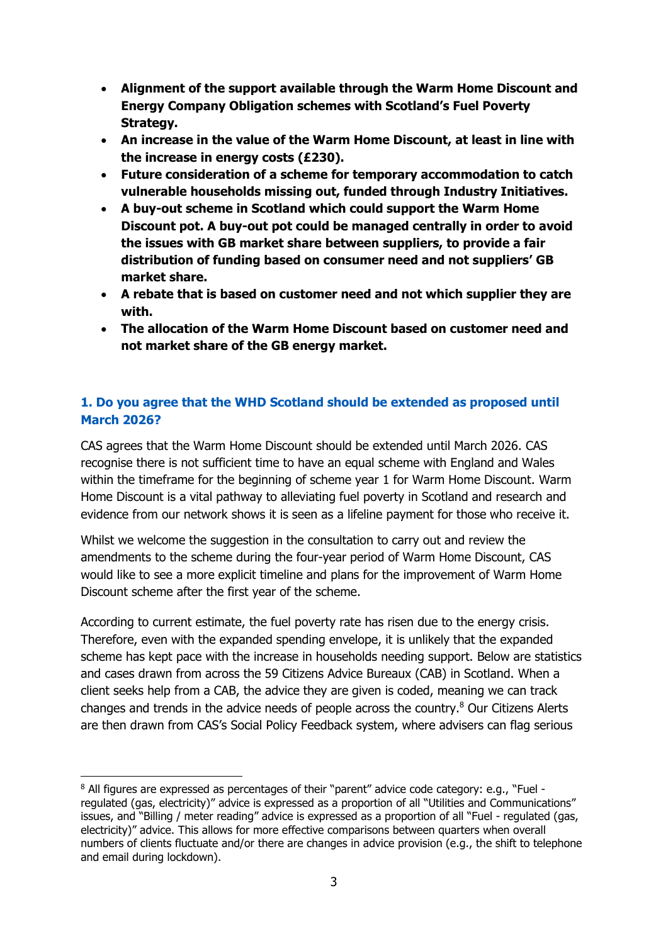- **Alignment of the support available through the Warm Home Discount and Energy Company Obligation schemes with Scotland's Fuel Poverty Strategy.**
- **An increase in the value of the Warm Home Discount, at least in line with the increase in energy costs (£230).**
- **Future consideration of a scheme for temporary accommodation to catch vulnerable households missing out, funded through Industry Initiatives.**
- **A buy-out scheme in Scotland which could support the Warm Home Discount pot. A buy-out pot could be managed centrally in order to avoid the issues with GB market share between suppliers, to provide a fair distribution of funding based on consumer need and not suppliers' GB market share.**
- **A rebate that is based on customer need and not which supplier they are with.**
- **The allocation of the Warm Home Discount based on customer need and not market share of the GB energy market.**

## **1. Do you agree that the WHD Scotland should be extended as proposed until March 2026?**

CAS agrees that the Warm Home Discount should be extended until March 2026. CAS recognise there is not sufficient time to have an equal scheme with England and Wales within the timeframe for the beginning of scheme year 1 for Warm Home Discount. Warm Home Discount is a vital pathway to alleviating fuel poverty in Scotland and research and evidence from our network shows it is seen as a lifeline payment for those who receive it.

Whilst we welcome the suggestion in the consultation to carry out and review the amendments to the scheme during the four-year period of Warm Home Discount, CAS would like to see a more explicit timeline and plans for the improvement of Warm Home Discount scheme after the first year of the scheme.

According to current estimate, the fuel poverty rate has risen due to the energy crisis. Therefore, even with the expanded spending envelope, it is unlikely that the expanded scheme has kept pace with the increase in households needing support. Below are statistics and cases drawn from across the 59 Citizens Advice Bureaux (CAB) in Scotland. When a client seeks help from a CAB, the advice they are given is coded, meaning we can track changes and trends in the advice needs of people across the country.<sup>8</sup> Our Citizens Alerts are then drawn from CAS's Social Policy Feedback system, where advisers can flag serious

<sup>8</sup> All figures are expressed as percentages of their "parent" advice code category: e.g., "Fuel regulated (gas, electricity)" advice is expressed as a proportion of all "Utilities and Communications" issues, and "Billing / meter reading" advice is expressed as a proportion of all "Fuel - regulated (gas, electricity)" advice. This allows for more effective comparisons between quarters when overall numbers of clients fluctuate and/or there are changes in advice provision (e.g., the shift to telephone and email during lockdown).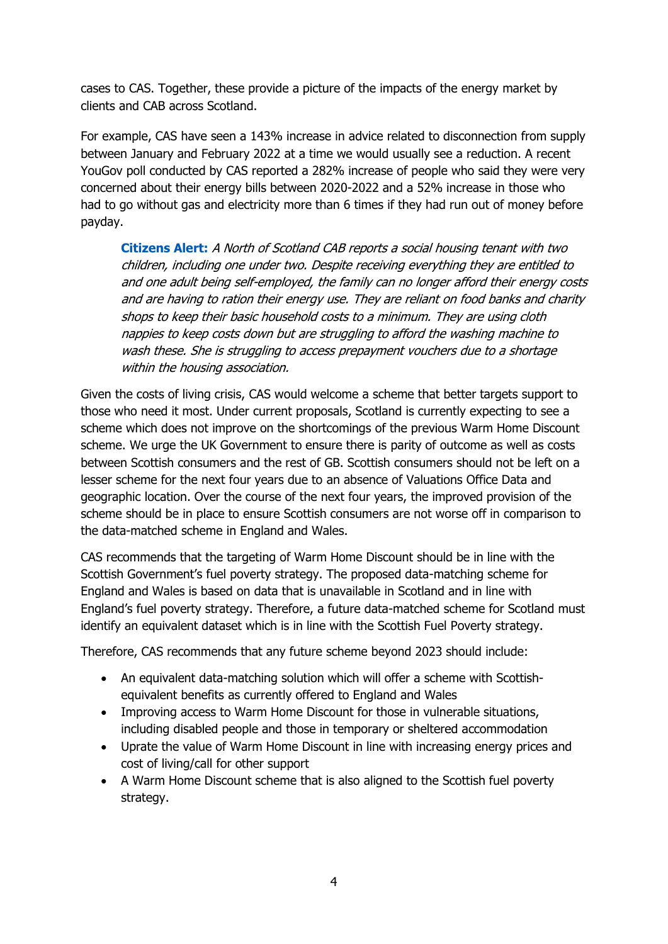cases to CAS. Together, these provide a picture of the impacts of the energy market by clients and CAB across Scotland.

For example, CAS have seen a 143% increase in advice related to disconnection from supply between January and February 2022 at a time we would usually see a reduction. A recent YouGov poll conducted by CAS reported a 282% increase of people who said they were very concerned about their energy bills between 2020-2022 and a 52% increase in those who had to go without gas and electricity more than 6 times if they had run out of money before payday.

**Citizens Alert:** A North of Scotland CAB reports a social housing tenant with two children, including one under two. Despite receiving everything they are entitled to and one adult being self-employed, the family can no longer afford their energy costs and are having to ration their energy use. They are reliant on food banks and charity shops to keep their basic household costs to a minimum. They are using cloth nappies to keep costs down but are struggling to afford the washing machine to wash these. She is struggling to access prepayment vouchers due to a shortage within the housing association.

Given the costs of living crisis, CAS would welcome a scheme that better targets support to those who need it most. Under current proposals, Scotland is currently expecting to see a scheme which does not improve on the shortcomings of the previous Warm Home Discount scheme. We urge the UK Government to ensure there is parity of outcome as well as costs between Scottish consumers and the rest of GB. Scottish consumers should not be left on a lesser scheme for the next four years due to an absence of Valuations Office Data and geographic location. Over the course of the next four years, the improved provision of the scheme should be in place to ensure Scottish consumers are not worse off in comparison to the data-matched scheme in England and Wales.

CAS recommends that the targeting of Warm Home Discount should be in line with the Scottish Government's fuel poverty strategy. The proposed data-matching scheme for England and Wales is based on data that is unavailable in Scotland and in line with England's fuel poverty strategy. Therefore, a future data-matched scheme for Scotland must identify an equivalent dataset which is in line with the Scottish Fuel Poverty strategy.

Therefore, CAS recommends that any future scheme beyond 2023 should include:

- An equivalent data-matching solution which will offer a scheme with Scottishequivalent benefits as currently offered to England and Wales
- Improving access to Warm Home Discount for those in vulnerable situations, including disabled people and those in temporary or sheltered accommodation
- Uprate the value of Warm Home Discount in line with increasing energy prices and cost of living/call for other support
- A Warm Home Discount scheme that is also aligned to the Scottish fuel poverty strategy.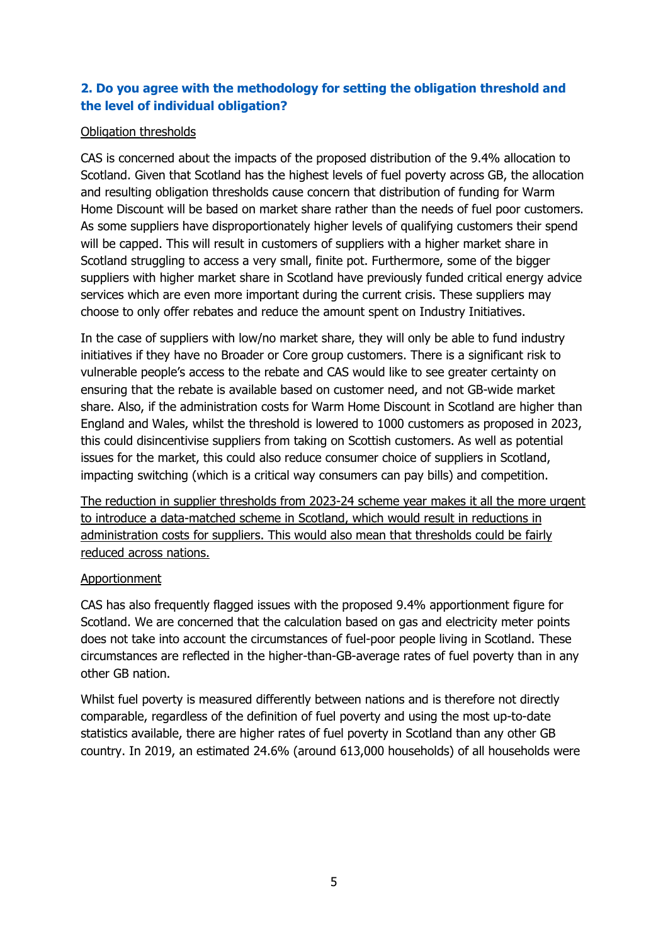## **2. Do you agree with the methodology for setting the obligation threshold and the level of individual obligation?**

## Obligation thresholds

CAS is concerned about the impacts of the proposed distribution of the 9.4% allocation to Scotland. Given that Scotland has the highest levels of fuel poverty across GB, the allocation and resulting obligation thresholds cause concern that distribution of funding for Warm Home Discount will be based on market share rather than the needs of fuel poor customers. As some suppliers have disproportionately higher levels of qualifying customers their spend will be capped. This will result in customers of suppliers with a higher market share in Scotland struggling to access a very small, finite pot. Furthermore, some of the bigger suppliers with higher market share in Scotland have previously funded critical energy advice services which are even more important during the current crisis. These suppliers may choose to only offer rebates and reduce the amount spent on Industry Initiatives.

In the case of suppliers with low/no market share, they will only be able to fund industry initiatives if they have no Broader or Core group customers. There is a significant risk to vulnerable people's access to the rebate and CAS would like to see greater certainty on ensuring that the rebate is available based on customer need, and not GB-wide market share. Also, if the administration costs for Warm Home Discount in Scotland are higher than England and Wales, whilst the threshold is lowered to 1000 customers as proposed in 2023, this could disincentivise suppliers from taking on Scottish customers. As well as potential issues for the market, this could also reduce consumer choice of suppliers in Scotland, impacting switching (which is a critical way consumers can pay bills) and competition.

The reduction in supplier thresholds from 2023-24 scheme year makes it all the more urgent to introduce a data-matched scheme in Scotland, which would result in reductions in administration costs for suppliers. This would also mean that thresholds could be fairly reduced across nations.

### **Apportionment**

CAS has also frequently flagged issues with the proposed 9.4% apportionment figure for Scotland. We are concerned that the calculation based on gas and electricity meter points does not take into account the circumstances of fuel-poor people living in Scotland. These circumstances are reflected in the higher-than-GB-average rates of fuel poverty than in any other GB nation.

Whilst fuel poverty is measured differently between nations and is therefore not directly comparable, regardless of the definition of fuel poverty and using the most up-to-date statistics available, there are higher rates of fuel poverty in Scotland than any other GB country. In 2019, an estimated 24.6% (around 613,000 households) of all households were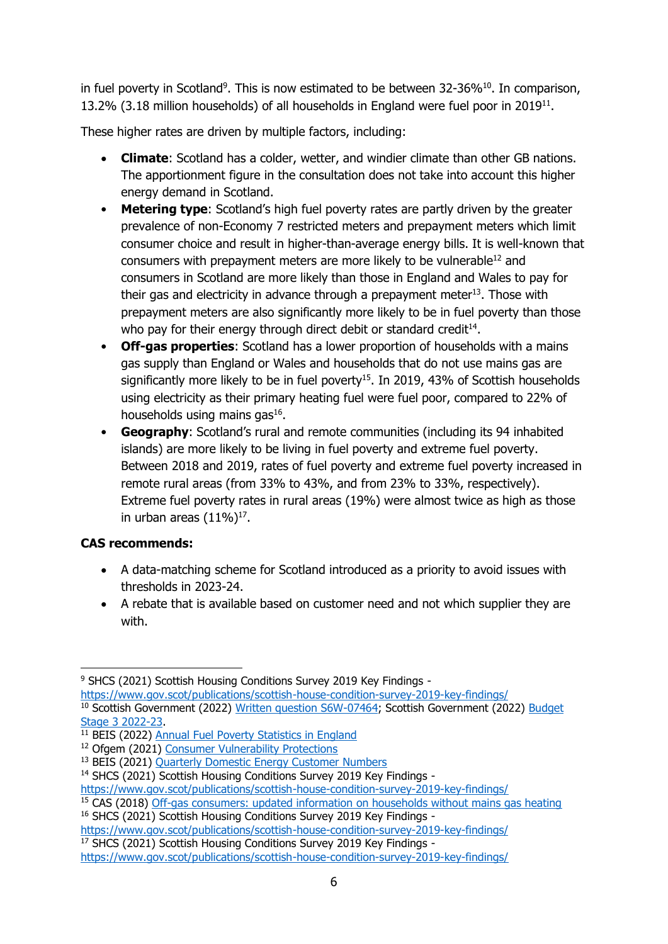in fuel poverty in Scotland<sup>9</sup>. This is now estimated to be between 32-36% $^{10}$ . In comparison, 13.2% (3.18 million households) of all households in England were fuel poor in 2019<sup>11</sup>.

These higher rates are driven by multiple factors, including:

- **Climate**: Scotland has a colder, wetter, and windier climate than other GB nations. The apportionment figure in the consultation does not take into account this higher energy demand in Scotland.
- **Metering type**: Scotland's high fuel poverty rates are partly driven by the greater prevalence of non-Economy 7 restricted meters and prepayment meters which limit consumer choice and result in higher-than-average energy bills. It is well-known that consumers with prepayment meters are more likely to be vulnerable<sup>12</sup> and consumers in Scotland are more likely than those in England and Wales to pay for their gas and electricity in advance through a prepayment meter $13$ . Those with prepayment meters are also significantly more likely to be in fuel poverty than those who pay for their energy through direct debit or standard credit<sup>14</sup>.
- **Off-gas properties**: Scotland has a lower proportion of households with a mains gas supply than England or Wales and households that do not use mains gas are significantly more likely to be in fuel poverty<sup>15</sup>. In 2019, 43% of Scottish households using electricity as their primary heating fuel were fuel poor, compared to 22% of households using mains gas $^{16}$ .
- **Geography**: Scotland's rural and remote communities (including its 94 inhabited islands) are more likely to be living in fuel poverty and extreme fuel poverty. Between 2018 and 2019, rates of fuel poverty and extreme fuel poverty increased in remote rural areas (from 33% to 43%, and from 23% to 33%, respectively). Extreme fuel poverty rates in rural areas (19%) were almost twice as high as those in urban areas  $(11\%)^{17}$ .

## **CAS recommends:**

- A data-matching scheme for Scotland introduced as a priority to avoid issues with thresholds in 2023-24.
- A rebate that is available based on customer need and not which supplier they are with.

<sup>9</sup> SHCS (2021) Scottish Housing Conditions Survey 2019 Key Findings -

https://www.gov.scot/publications/scottish-house-condition-survey-2019-key-findings/ <sup>10</sup> Scottish Government (2022) [Written question S6W-07464;](https://www.parliament.scot/chamber-and-committees/written-questions-and-answers/question?ref=S6W-07464) Scottish Government (2022) Budget [Stage 3 2022-23.](https://www.gov.scot/publications/budget-statement-stage-3-2022-23/)

<sup>&</sup>lt;sup>11</sup> BEIS (2022) [Annual Fuel Poverty Statistics in England](https://assets.publishing.service.gov.uk/government/uploads/system/uploads/attachment_data/file/1056777/annual-fuel-poverty-statistics-lilee-report-2022-2020-data.pdf)

<sup>&</sup>lt;sup>12</sup> Ofgem (2021) [Consumer Vulnerability Protections](https://www.ofgem.gov.uk/publications/consumer-protection-report-autumn-2021)

<sup>13</sup> BEIS (2021) [Quarterly Domestic Energy Customer Numbers](https://www.gov.uk/government/statistical-data-sets/quarterly-domestic-energy-price-stastics)

<sup>&</sup>lt;sup>14</sup> SHCS (2021) Scottish Housing Conditions Survey 2019 Key Findings -

<https://www.gov.scot/publications/scottish-house-condition-survey-2019-key-findings/>

<sup>&</sup>lt;sup>15</sup> CAS (2018) [Off-gas consumers: updated information on households without mains gas heating](https://www.cas.org.uk/system/files/publications/2018-08-15_off-gas_report_final_0.pdf)

<sup>&</sup>lt;sup>16</sup> SHCS (2021) Scottish Housing Conditions Survey 2019 Key Findings -

<https://www.gov.scot/publications/scottish-house-condition-survey-2019-key-findings/>

<sup>&</sup>lt;sup>17</sup> SHCS (2021) Scottish Housing Conditions Survey 2019 Key Findings -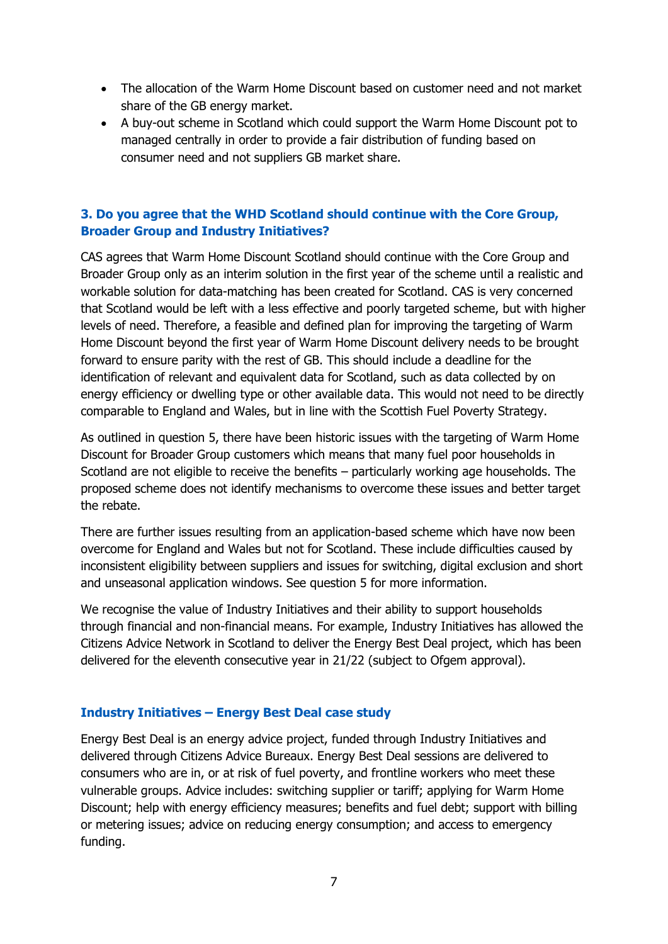- The allocation of the Warm Home Discount based on customer need and not market share of the GB energy market.
- A buy-out scheme in Scotland which could support the Warm Home Discount pot to managed centrally in order to provide a fair distribution of funding based on consumer need and not suppliers GB market share.

## **3. Do you agree that the WHD Scotland should continue with the Core Group, Broader Group and Industry Initiatives?**

CAS agrees that Warm Home Discount Scotland should continue with the Core Group and Broader Group only as an interim solution in the first year of the scheme until a realistic and workable solution for data-matching has been created for Scotland. CAS is very concerned that Scotland would be left with a less effective and poorly targeted scheme, but with higher levels of need. Therefore, a feasible and defined plan for improving the targeting of Warm Home Discount beyond the first year of Warm Home Discount delivery needs to be brought forward to ensure parity with the rest of GB. This should include a deadline for the identification of relevant and equivalent data for Scotland, such as data collected by on energy efficiency or dwelling type or other available data. This would not need to be directly comparable to England and Wales, but in line with the Scottish Fuel Poverty Strategy.

As outlined in question 5, there have been historic issues with the targeting of Warm Home Discount for Broader Group customers which means that many fuel poor households in Scotland are not eligible to receive the benefits – particularly working age households. The proposed scheme does not identify mechanisms to overcome these issues and better target the rebate.

There are further issues resulting from an application-based scheme which have now been overcome for England and Wales but not for Scotland. These include difficulties caused by inconsistent eligibility between suppliers and issues for switching, digital exclusion and short and unseasonal application windows. See question 5 for more information.

We recognise the value of Industry Initiatives and their ability to support households through financial and non-financial means. For example, Industry Initiatives has allowed the Citizens Advice Network in Scotland to deliver the Energy Best Deal project, which has been delivered for the eleventh consecutive year in 21/22 (subject to Ofgem approval).

### **Industry Initiatives – Energy Best Deal case study**

Energy Best Deal is an energy advice project, funded through Industry Initiatives and delivered through Citizens Advice Bureaux. Energy Best Deal sessions are delivered to consumers who are in, or at risk of fuel poverty, and frontline workers who meet these vulnerable groups. Advice includes: switching supplier or tariff; applying for Warm Home Discount; help with energy efficiency measures; benefits and fuel debt; support with billing or metering issues; advice on reducing energy consumption; and access to emergency funding.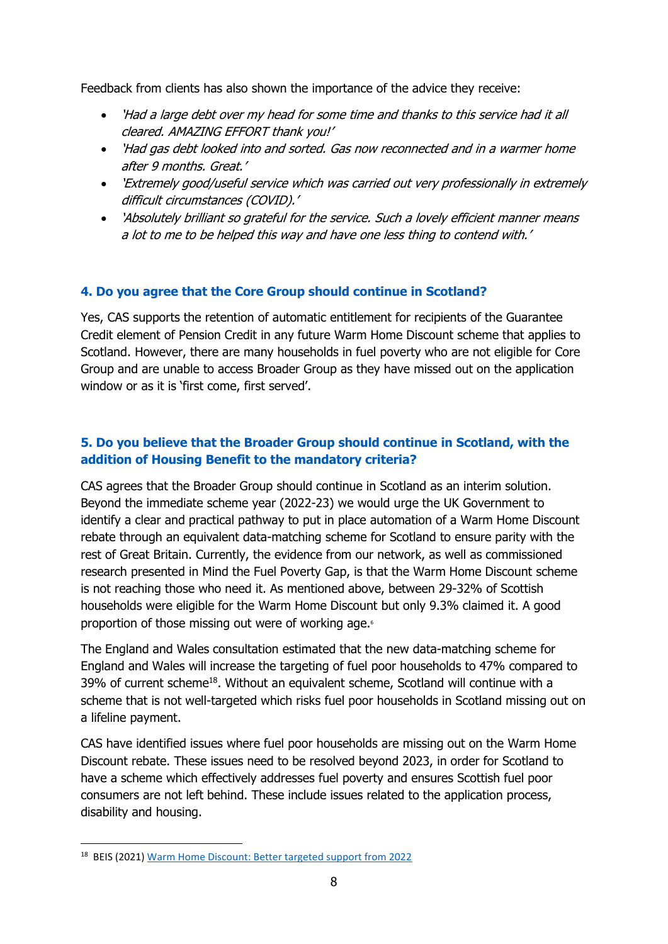Feedback from clients has also shown the importance of the advice they receive:

- 'Had a large debt over my head for some time and thanks to this service had it all cleared. AMAZING EFFORT thank you!'
- 'Had gas debt looked into and sorted. Gas now reconnected and in a warmer home after 9 months. Great.'
- 'Extremely good/useful service which was carried out very professionally in extremely difficult circumstances (COVID).'
- 'Absolutely brilliant so grateful for the service. Such a lovely efficient manner means a lot to me to be helped this way and have one less thing to contend with.'

## **4. Do you agree that the Core Group should continue in Scotland?**

Yes, CAS supports the retention of automatic entitlement for recipients of the Guarantee Credit element of Pension Credit in any future Warm Home Discount scheme that applies to Scotland. However, there are many households in fuel poverty who are not eligible for Core Group and are unable to access Broader Group as they have missed out on the application window or as it is 'first come, first served'.

## **5. Do you believe that the Broader Group should continue in Scotland, with the addition of Housing Benefit to the mandatory criteria?**

CAS agrees that the Broader Group should continue in Scotland as an interim solution. Beyond the immediate scheme year (2022-23) we would urge the UK Government to identify a clear and practical pathway to put in place automation of a Warm Home Discount rebate through an equivalent data-matching scheme for Scotland to ensure parity with the rest of Great Britain. Currently, the evidence from our network, as well as commissioned research presented in Mind the Fuel Poverty Gap, is that the Warm Home Discount scheme is not reaching those who need it. As mentioned above, between 29-32% of Scottish households were eligible for the Warm Home Discount but only 9.3% claimed it. A good proportion of those missing out were of working age.<sup>6</sup>

The England and Wales consultation estimated that the new data-matching scheme for England and Wales will increase the targeting of fuel poor households to 47% compared to 39% of current scheme<sup>18</sup>. Without an equivalent scheme, Scotland will continue with a scheme that is not well-targeted which risks fuel poor households in Scotland missing out on a lifeline payment.

CAS have identified issues where fuel poor households are missing out on the Warm Home Discount rebate. These issues need to be resolved beyond 2023, in order for Scotland to have a scheme which effectively addresses fuel poverty and ensures Scottish fuel poor consumers are not left behind. These include issues related to the application process, disability and housing.

<sup>&</sup>lt;sup>18</sup> BEIS (2021) [Warm Home Discount: Better targeted support from 2022](https://assets.publishing.service.gov.uk/government/uploads/system/uploads/attachment_data/file/1065684/Warm_Home_Discount_Better_targeted_support_from_2022_Government_response.pdf)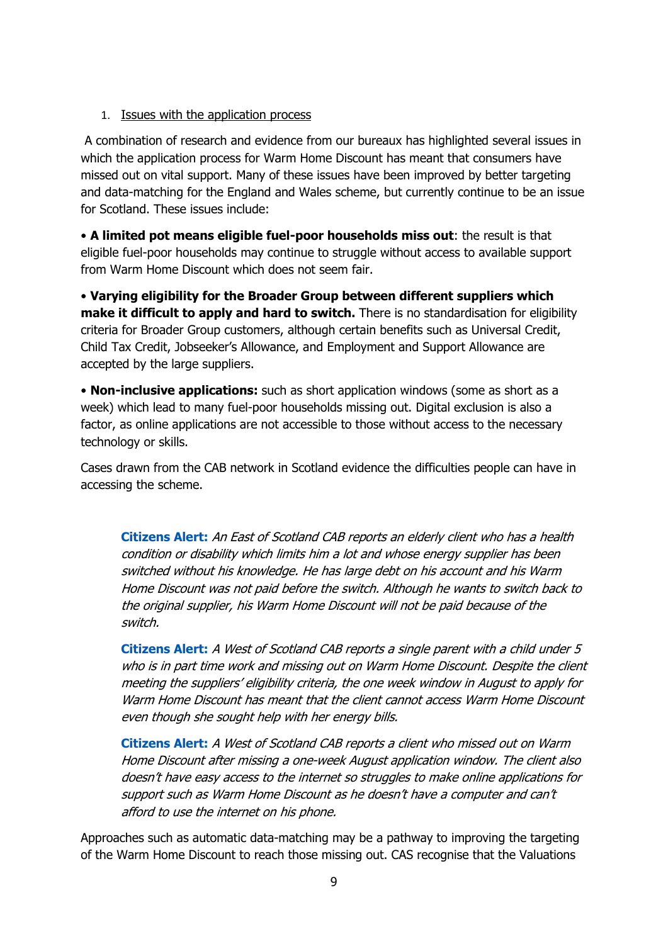### 1. Issues with the application process

A combination of research and evidence from our bureaux has highlighted several issues in which the application process for Warm Home Discount has meant that consumers have missed out on vital support. Many of these issues have been improved by better targeting and data-matching for the England and Wales scheme, but currently continue to be an issue for Scotland. These issues include:

• **A limited pot means eligible fuel-poor households miss out**: the result is that eligible fuel-poor households may continue to struggle without access to available support from Warm Home Discount which does not seem fair.

• **Varying eligibility for the Broader Group between different suppliers which make it difficult to apply and hard to switch.** There is no standardisation for eligibility criteria for Broader Group customers, although certain benefits such as Universal Credit, Child Tax Credit, Jobseeker's Allowance, and Employment and Support Allowance are accepted by the large suppliers.

• **Non-inclusive applications:** such as short application windows (some as short as a week) which lead to many fuel-poor households missing out. Digital exclusion is also a factor, as online applications are not accessible to those without access to the necessary technology or skills.

Cases drawn from the CAB network in Scotland evidence the difficulties people can have in accessing the scheme.

**Citizens Alert:** An East of Scotland CAB reports an elderly client who has a health condition or disability which limits him a lot and whose energy supplier has been switched without his knowledge. He has large debt on his account and his Warm Home Discount was not paid before the switch. Although he wants to switch back to the original supplier, his Warm Home Discount will not be paid because of the switch.

**Citizens Alert:** A West of Scotland CAB reports a single parent with a child under 5 who is in part time work and missing out on Warm Home Discount. Despite the client meeting the suppliers' eligibility criteria, the one week window in August to apply for Warm Home Discount has meant that the client cannot access Warm Home Discount even though she sought help with her energy bills.

**Citizens Alert:** A West of Scotland CAB reports a client who missed out on Warm Home Discount after missing a one-week August application window. The client also doesn't have easy access to the internet so struggles to make online applications for support such as Warm Home Discount as he doesn't have a computer and can't afford to use the internet on his phone.

Approaches such as automatic data-matching may be a pathway to improving the targeting of the Warm Home Discount to reach those missing out. CAS recognise that the Valuations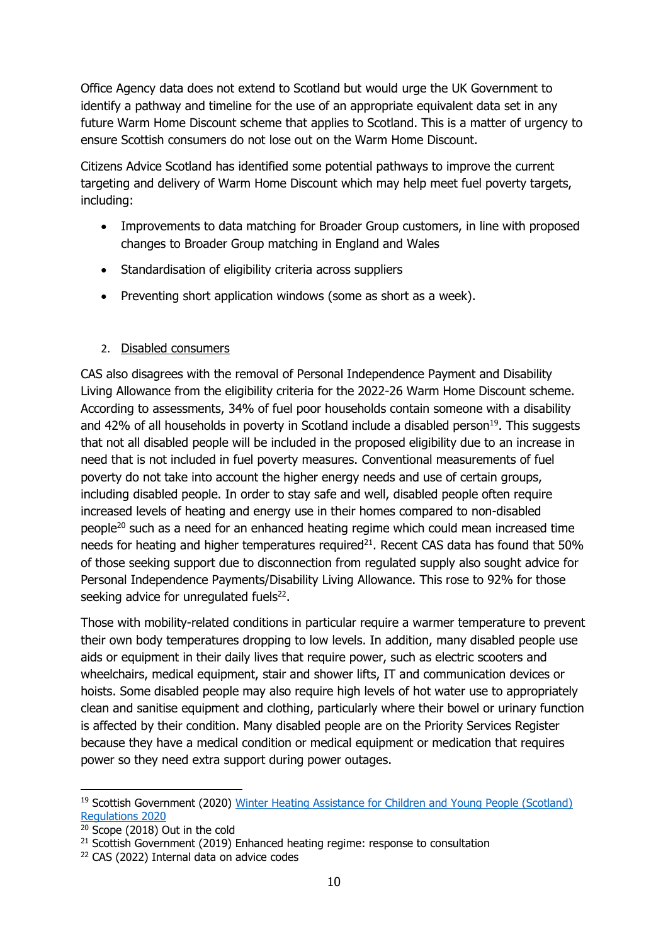Office Agency data does not extend to Scotland but would urge the UK Government to identify a pathway and timeline for the use of an appropriate equivalent data set in any future Warm Home Discount scheme that applies to Scotland. This is a matter of urgency to ensure Scottish consumers do not lose out on the Warm Home Discount.

Citizens Advice Scotland has identified some potential pathways to improve the current targeting and delivery of Warm Home Discount which may help meet fuel poverty targets, including:

- Improvements to data matching for Broader Group customers, in line with proposed changes to Broader Group matching in England and Wales
- Standardisation of eligibility criteria across suppliers
- Preventing short application windows (some as short as a week).

### 2. Disabled consumers

CAS also disagrees with the removal of Personal Independence Payment and Disability Living Allowance from the eligibility criteria for the 2022-26 Warm Home Discount scheme. According to assessments, 34% of fuel poor households contain someone with a disability and 42% of all households in poverty in Scotland include a disabled person<sup>19</sup>. This suggests that not all disabled people will be included in the proposed eligibility due to an increase in need that is not included in fuel poverty measures. Conventional measurements of fuel poverty do not take into account the higher energy needs and use of certain groups, including disabled people. In order to stay safe and well, disabled people often require increased levels of heating and energy use in their homes compared to non-disabled people<sup>20</sup> such as a need for an enhanced heating regime which could mean increased time needs for heating and higher temperatures required $^{21}$ . Recent CAS data has found that 50% of those seeking support due to disconnection from regulated supply also sought advice for Personal Independence Payments/Disability Living Allowance. This rose to 92% for those seeking advice for unregulated fuels $22$ .

Those with mobility-related conditions in particular require a warmer temperature to prevent their own body temperatures dropping to low levels. In addition, many disabled people use aids or equipment in their daily lives that require power, such as electric scooters and wheelchairs, medical equipment, stair and shower lifts, IT and communication devices or hoists. Some disabled people may also require high levels of hot water use to appropriately clean and sanitise equipment and clothing, particularly where their bowel or urinary function is affected by their condition. Many disabled people are on the Priority Services Register because they have a medical condition or medical equipment or medication that requires power so they need extra support during power outages.

<sup>&</sup>lt;sup>19</sup> Scottish Government (2020) Winter Heating Assistance for Children and Young People (Scotland) [Regulations 2020](https://www.legislation.gov.uk/ssi/2020/352/pdfs/ssiod_20200352_en_001.pdf)

<sup>20</sup> Scope (2018) Out in the cold

 $21$  Scottish Government (2019) Enhanced heating regime: response to consultation

<sup>22</sup> CAS (2022) Internal data on advice codes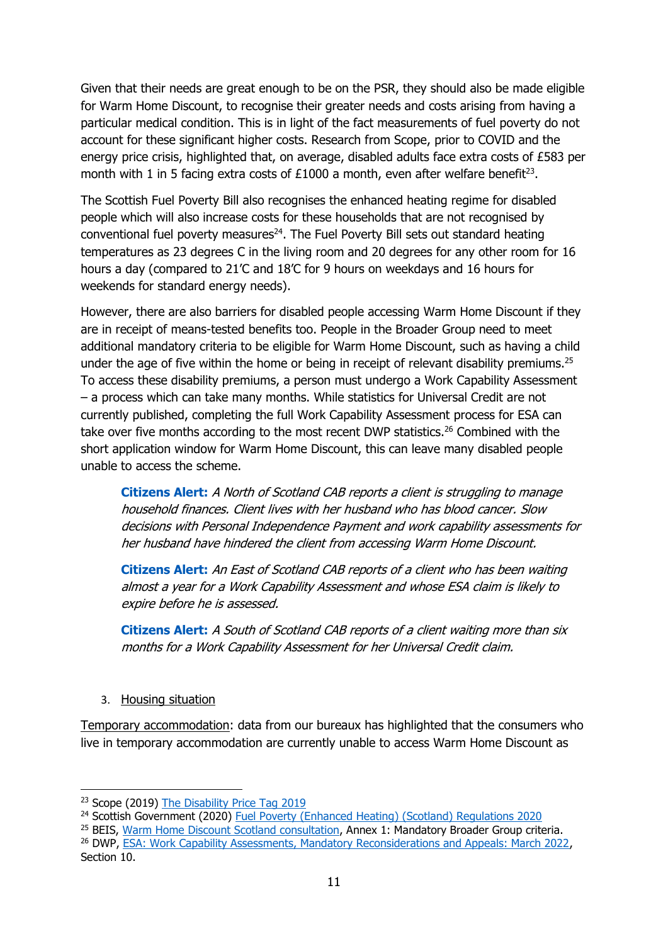Given that their needs are great enough to be on the PSR, they should also be made eligible for Warm Home Discount, to recognise their greater needs and costs arising from having a particular medical condition. This is in light of the fact measurements of fuel poverty do not account for these significant higher costs. Research from Scope, prior to COVID and the energy price crisis, highlighted that, on average, disabled adults face extra costs of £583 per month with 1 in 5 facing extra costs of  $£1000$  a month, even after welfare benefit<sup>23</sup>.

The Scottish Fuel Poverty Bill also recognises the enhanced heating regime for disabled people which will also increase costs for these households that are not recognised by  $conventional fuel, powerty measures<sup>24</sup>. The Fuel, Poverty, Bill sets out standard heating.$ temperatures as 23 degrees C in the living room and 20 degrees for any other room for 16 hours a day (compared to 21'C and 18'C for 9 hours on weekdays and 16 hours for weekends for standard energy needs).

However, there are also barriers for disabled people accessing Warm Home Discount if they are in receipt of means-tested benefits too. People in the Broader Group need to meet additional mandatory criteria to be eligible for Warm Home Discount, such as having a child under the age of five within the home or being in receipt of relevant disability premiums.<sup>25</sup> To access these disability premiums, a person must undergo a Work Capability Assessment – a process which can take many months. While statistics for Universal Credit are not currently published, completing the full Work Capability Assessment process for ESA can take over five months according to the most recent DWP statistics.<sup>26</sup> Combined with the short application window for Warm Home Discount, this can leave many disabled people unable to access the scheme.

**Citizens Alert:** A North of Scotland CAB reports a client is struggling to manage household finances. Client lives with her husband who has blood cancer. Slow decisions with Personal Independence Payment and work capability assessments for her husband have hindered the client from accessing Warm Home Discount.

**Citizens Alert:** An East of Scotland CAB reports of a client who has been waiting almost a year for a Work Capability Assessment and whose ESA claim is likely to expire before he is assessed.

**Citizens Alert:** A South of Scotland CAB reports of a client waiting more than six months for a Work Capability Assessment for her Universal Credit claim.

### 3. Housing situation

Temporary accommodation: data from our bureaux has highlighted that the consumers who live in temporary accommodation are currently unable to access Warm Home Discount as

<sup>25</sup> BEIS, [Warm Home Discount Scotland consultation,](https://assets.publishing.service.gov.uk/government/uploads/system/uploads/attachment_data/file/1073769/the-Warm-Home-Discount-Scotland-consultation-2022.pdf) Annex 1: Mandatory Broader Group criteria. <sup>26</sup> DWP, [ESA: Work Capability Assessments, Mandatory Reconsiderations and Appeals: March 2022,](https://www.gov.uk/government/statistics/esa-outcomes-of-work-capability-assessments-including-mandatory-reconsiderations-and-appeals-march-2022/esa-work-capability-assessments-mandatory-reconsiderations-and-appeals-march-2022#esa-wca-customer-journey-clearance-times-for-initial-claims-experimental-statistics) Section 10.

<sup>&</sup>lt;sup>23</sup> Scope (2019) [The Disability Price Tag 2019](https://www.scope.org.uk/campaigns/extra-costs/disability-price-tag/)

<sup>&</sup>lt;sup>24</sup> Scottish Government (2020) Fuel Poverty [\(Enhanced Heating\) \(Scotland\) Regulations 2020](https://www.legislation.gov.uk/sdsi/2020/9780111043677)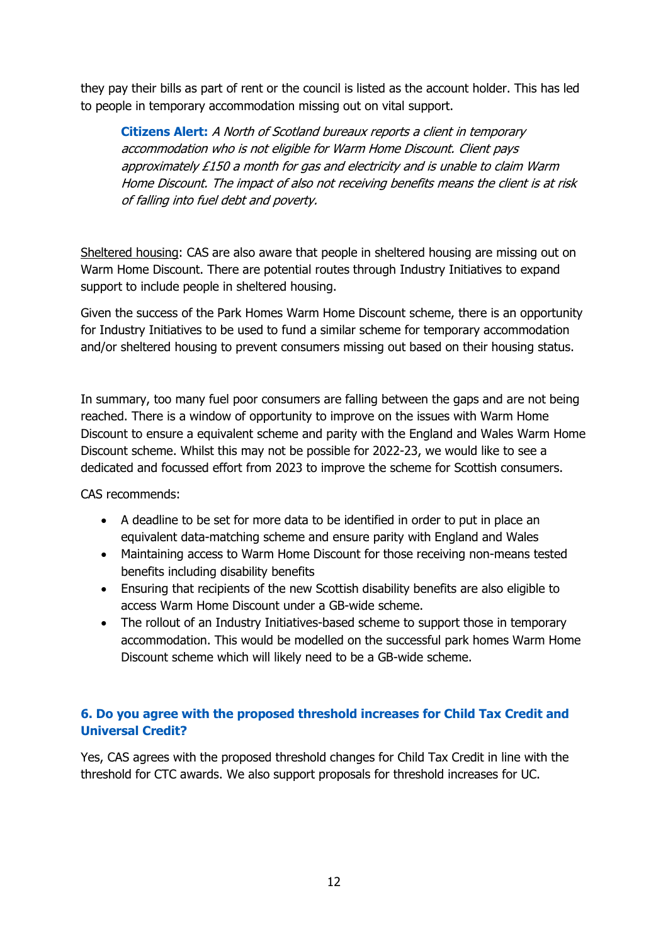they pay their bills as part of rent or the council is listed as the account holder. This has led to people in temporary accommodation missing out on vital support.

**Citizens Alert:** A North of Scotland bureaux reports a client in temporary accommodation who is not eligible for Warm Home Discount. Client pays approximately £150 a month for gas and electricity and is unable to claim Warm Home Discount. The impact of also not receiving benefits means the client is at risk of falling into fuel debt and poverty.

Sheltered housing: CAS are also aware that people in sheltered housing are missing out on Warm Home Discount. There are potential routes through Industry Initiatives to expand support to include people in sheltered housing.

Given the success of the Park Homes Warm Home Discount scheme, there is an opportunity for Industry Initiatives to be used to fund a similar scheme for temporary accommodation and/or sheltered housing to prevent consumers missing out based on their housing status.

In summary, too many fuel poor consumers are falling between the gaps and are not being reached. There is a window of opportunity to improve on the issues with Warm Home Discount to ensure a equivalent scheme and parity with the England and Wales Warm Home Discount scheme. Whilst this may not be possible for 2022-23, we would like to see a dedicated and focussed effort from 2023 to improve the scheme for Scottish consumers.

CAS recommends:

- A deadline to be set for more data to be identified in order to put in place an equivalent data-matching scheme and ensure parity with England and Wales
- Maintaining access to Warm Home Discount for those receiving non-means tested benefits including disability benefits
- Ensuring that recipients of the new Scottish disability benefits are also eligible to access Warm Home Discount under a GB-wide scheme.
- The rollout of an Industry Initiatives-based scheme to support those in temporary accommodation. This would be modelled on the successful park homes Warm Home Discount scheme which will likely need to be a GB-wide scheme.

## **6. Do you agree with the proposed threshold increases for Child Tax Credit and Universal Credit?**

Yes, CAS agrees with the proposed threshold changes for Child Tax Credit in line with the threshold for CTC awards. We also support proposals for threshold increases for UC.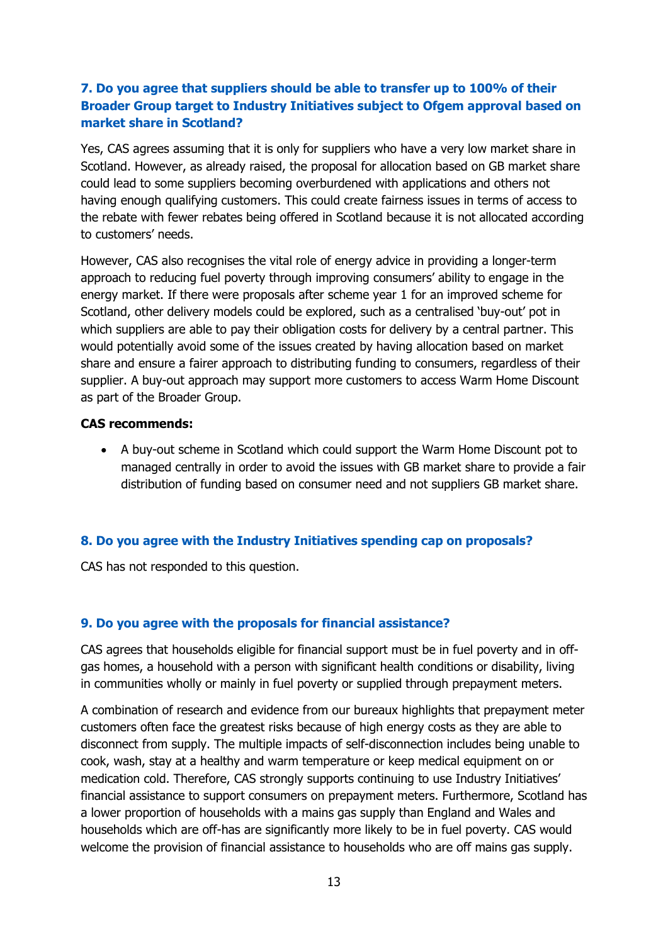## **7. Do you agree that suppliers should be able to transfer up to 100% of their Broader Group target to Industry Initiatives subject to Ofgem approval based on market share in Scotland?**

Yes, CAS agrees assuming that it is only for suppliers who have a very low market share in Scotland. However, as already raised, the proposal for allocation based on GB market share could lead to some suppliers becoming overburdened with applications and others not having enough qualifying customers. This could create fairness issues in terms of access to the rebate with fewer rebates being offered in Scotland because it is not allocated according to customers' needs.

However, CAS also recognises the vital role of energy advice in providing a longer-term approach to reducing fuel poverty through improving consumers' ability to engage in the energy market. If there were proposals after scheme year 1 for an improved scheme for Scotland, other delivery models could be explored, such as a centralised 'buy-out' pot in which suppliers are able to pay their obligation costs for delivery by a central partner. This would potentially avoid some of the issues created by having allocation based on market share and ensure a fairer approach to distributing funding to consumers, regardless of their supplier. A buy-out approach may support more customers to access Warm Home Discount as part of the Broader Group.

#### **CAS recommends:**

• A buy-out scheme in Scotland which could support the Warm Home Discount pot to managed centrally in order to avoid the issues with GB market share to provide a fair distribution of funding based on consumer need and not suppliers GB market share.

### **8. Do you agree with the Industry Initiatives spending cap on proposals?**

CAS has not responded to this question.

### **9. Do you agree with the proposals for financial assistance?**

CAS agrees that households eligible for financial support must be in fuel poverty and in offgas homes, a household with a person with significant health conditions or disability, living in communities wholly or mainly in fuel poverty or supplied through prepayment meters.

A combination of research and evidence from our bureaux highlights that prepayment meter customers often face the greatest risks because of high energy costs as they are able to disconnect from supply. The multiple impacts of self-disconnection includes being unable to cook, wash, stay at a healthy and warm temperature or keep medical equipment on or medication cold. Therefore, CAS strongly supports continuing to use Industry Initiatives' financial assistance to support consumers on prepayment meters. Furthermore, Scotland has a lower proportion of households with a mains gas supply than England and Wales and households which are off-has are significantly more likely to be in fuel poverty. CAS would welcome the provision of financial assistance to households who are off mains gas supply.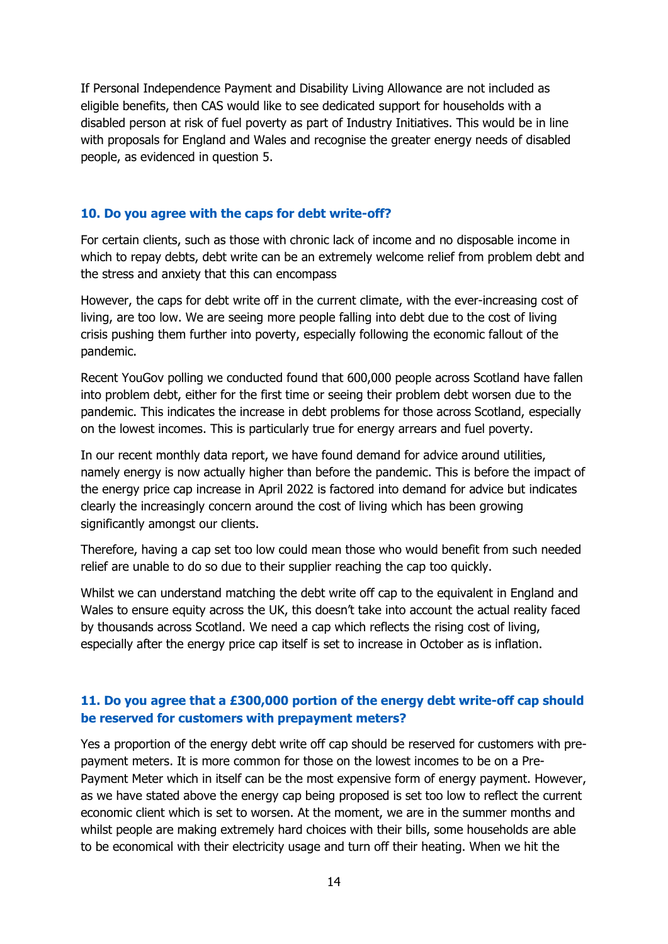If Personal Independence Payment and Disability Living Allowance are not included as eligible benefits, then CAS would like to see dedicated support for households with a disabled person at risk of fuel poverty as part of Industry Initiatives. This would be in line with proposals for England and Wales and recognise the greater energy needs of disabled people, as evidenced in question 5.

#### **10. Do you agree with the caps for debt write-off?**

For certain clients, such as those with chronic lack of income and no disposable income in which to repay debts, debt write can be an extremely welcome relief from problem debt and the stress and anxiety that this can encompass

However, the caps for debt write off in the current climate, with the ever-increasing cost of living, are too low. We are seeing more people falling into debt due to the cost of living crisis pushing them further into poverty, especially following the economic fallout of the pandemic.

Recent YouGov polling we conducted found that 600,000 people across Scotland have fallen into problem debt, either for the first time or seeing their problem debt worsen due to the pandemic. This indicates the increase in debt problems for those across Scotland, especially on the lowest incomes. This is particularly true for energy arrears and fuel poverty.

In our recent monthly data report, we have found demand for advice around utilities, namely energy is now actually higher than before the pandemic. This is before the impact of the energy price cap increase in April 2022 is factored into demand for advice but indicates clearly the increasingly concern around the cost of living which has been growing significantly amongst our clients.

Therefore, having a cap set too low could mean those who would benefit from such needed relief are unable to do so due to their supplier reaching the cap too quickly.

Whilst we can understand matching the debt write off cap to the equivalent in England and Wales to ensure equity across the UK, this doesn't take into account the actual reality faced by thousands across Scotland. We need a cap which reflects the rising cost of living, especially after the energy price cap itself is set to increase in October as is inflation.

### **11. Do you agree that a £300,000 portion of the energy debt write-off cap should be reserved for customers with prepayment meters?**

Yes a proportion of the energy debt write off cap should be reserved for customers with prepayment meters. It is more common for those on the lowest incomes to be on a Pre-Payment Meter which in itself can be the most expensive form of energy payment. However, as we have stated above the energy cap being proposed is set too low to reflect the current economic client which is set to worsen. At the moment, we are in the summer months and whilst people are making extremely hard choices with their bills, some households are able to be economical with their electricity usage and turn off their heating. When we hit the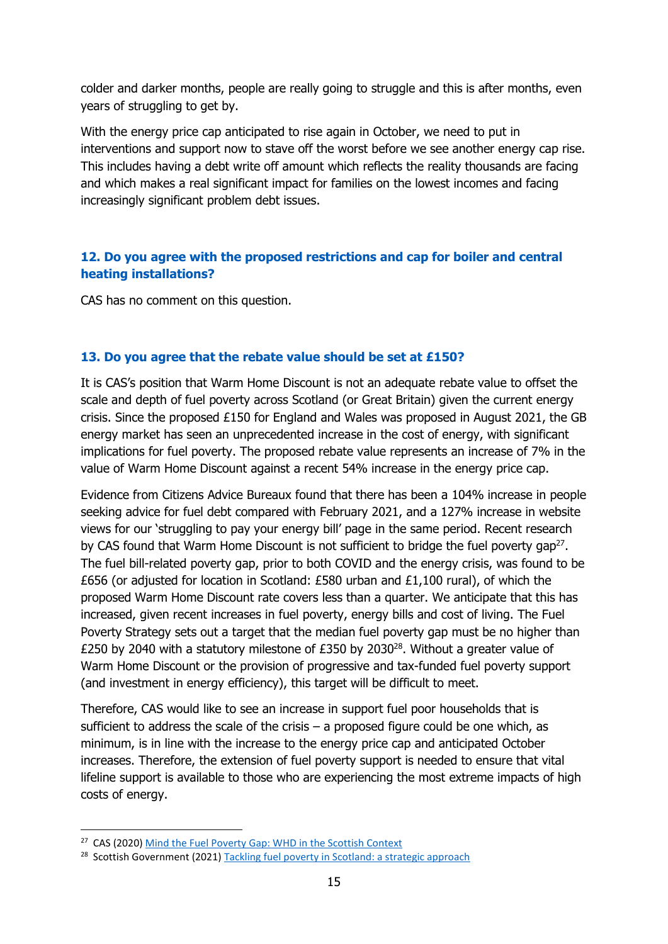colder and darker months, people are really going to struggle and this is after months, even years of struggling to get by.

With the energy price cap anticipated to rise again in October, we need to put in interventions and support now to stave off the worst before we see another energy cap rise. This includes having a debt write off amount which reflects the reality thousands are facing and which makes a real significant impact for families on the lowest incomes and facing increasingly significant problem debt issues.

## **12. Do you agree with the proposed restrictions and cap for boiler and central heating installations?**

CAS has no comment on this question.

### **13. Do you agree that the rebate value should be set at £150?**

It is CAS's position that Warm Home Discount is not an adequate rebate value to offset the scale and depth of fuel poverty across Scotland (or Great Britain) given the current energy crisis. Since the proposed £150 for England and Wales was proposed in August 2021, the GB energy market has seen an unprecedented increase in the cost of energy, with significant implications for fuel poverty. The proposed rebate value represents an increase of 7% in the value of Warm Home Discount against a recent 54% increase in the energy price cap.

Evidence from Citizens Advice Bureaux found that there has been a 104% increase in people seeking advice for fuel debt compared with February 2021, and a 127% increase in website views for our 'struggling to pay your energy bill' page in the same period. Recent research by CAS found that Warm Home Discount is not sufficient to bridge the fuel poverty gap<sup>27</sup>. The fuel bill-related poverty gap, prior to both COVID and the energy crisis, was found to be £656 (or adjusted for location in Scotland: £580 urban and £1,100 rural), of which the proposed Warm Home Discount rate covers less than a quarter. We anticipate that this has increased, given recent increases in fuel poverty, energy bills and cost of living. The Fuel Poverty Strategy sets out a target that the median fuel poverty gap must be no higher than £250 by 2040 with a statutory milestone of £350 by 2030 $^{28}$ . Without a greater value of Warm Home Discount or the provision of progressive and tax-funded fuel poverty support (and investment in energy efficiency), this target will be difficult to meet.

Therefore, CAS would like to see an increase in support fuel poor households that is sufficient to address the scale of the crisis  $-$  a proposed figure could be one which, as minimum, is in line with the increase to the energy price cap and anticipated October increases. Therefore, the extension of fuel poverty support is needed to ensure that vital lifeline support is available to those who are experiencing the most extreme impacts of high costs of energy.

<sup>&</sup>lt;sup>27</sup> CAS (2020[\) Mind the Fuel Poverty Gap: WHD in the Scottish Context](https://www.cas.org.uk/publications/mind-fuel-poverty-gap-warm-home-discount-scottish-context)

<sup>&</sup>lt;sup>28</sup> Scottish Government (2021) [Tackling fuel poverty in Scotland: a strategic approach](https://www.gov.scot/publications/tackling-fuel-poverty-scotland-strategic-approach/pages/2/)